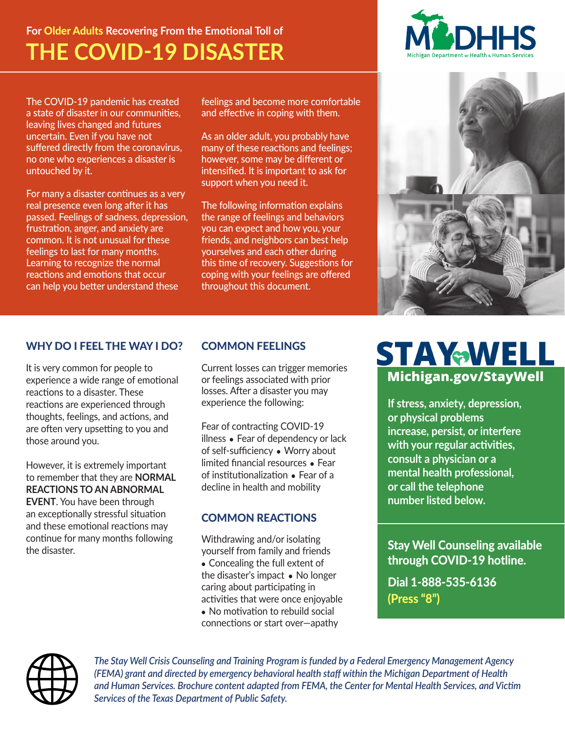# **For** Older Adults **Recovering From the Emotional Toll of THE COVID-19 DISASTER**

The COVID-19 pandemic has created a state of disaster in our communities, leaving lives changed and futures uncertain. Even if you have not suffered directly from the coronavirus, no one who experiences a disaster is untouched by it.

For many a disaster continues as a very real presence even long after it has passed. Feelings of sadness, depression, frustration, anger, and anxiety are common. It is not unusual for these feelings to last for many months. Learning to recognize the normal reactions and emotions that occur can help you better understand these

feelings and become more comfortable and effective in coping with them.

As an older adult, you probably have many of these reactions and feelings; however, some may be different or intensified. It is important to ask for support when you need it.

The following information explains the range of feelings and behaviors you can expect and how you, your friends, and neighbors can best help yourselves and each other during this time of recovery. Suggestions for coping with your feelings are offered throughout this document.





# WHY DO I FEEL THE WAY I DO?

It is very common for people to experience a wide range of emotional reactions to a disaster. These reactions are experienced through thoughts, feelings, and actions, and are often very upsetting to you and those around you.

However, it is extremely important to remember that they are **NORMAL REACTIONS TO AN ABNORMAL EVENT**. You have been through an exceptionally stressful situation and these emotional reactions may continue for many months following the disaster.

# COMMON FEELINGS

Current losses can trigger memories or feelings associated with prior losses. After a disaster you may experience the following:

Fear of contracting COVID-19 illness • Fear of dependency or lack of self-sufficiency ● Worry about limited financial resources ● Fear of institutionalization ● Fear of a decline in health and mobility

# COMMON REACTIONS

Withdrawing and/or isolating yourself from family and friends • Concealing the full extent of the disaster's impact ● No longer caring about participating in activities that were once enjoyable • No motivation to rebuild social connections or start over—apathy

# **STAYWELL Michigan.gov/StayWell**

**If stress, anxiety, depression, or physical problems increase, persist, or interfere with your regular activities, consult a physician or a mental health professional, or call the telephone number listed below.**

Stay Well Counseling available through COVID-19 hotline.

Dial 1-888-535-6136 (Press "8")



*The Stay Well Crisis Counseling and Training Program is funded by a Federal Emergency Management Agency (FEMA) grant and directed by emergency behavioral health staff within the Michigan Department of Health and Human Services. Brochure content adapted from FEMA, the Center for Mental Health Services, and Victim Services of the Texas Department of Public Safety.*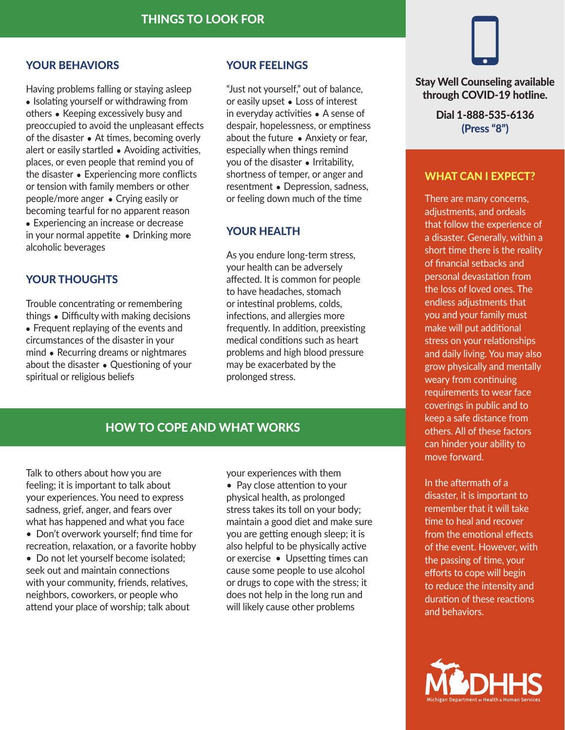#### YOUR BEHAVIORS

Having problems falling or staying asleep • Isolating yourself or withdrawing from others ● Keeping excessively busy and preoccupied to avoid the unpleasant effects of the disaster • At times, becoming overly alert or easily startled • Avoiding activities, places, or even people that remind you of the disaster • Experiencing more conflicts or tension with family members or other people/more anger ● Crying easily or becoming tearful for no apparent reason • Experiencing an increase or decrease in your normal appetite • Drinking more alcoholic beverages

## YOUR THOUGHTS

Trouble concentrating or remembering things ● Difficulty with making decisions • Frequent replaying of the events and circumstances of the disaster in your mind ● Recurring dreams or nightmares about the disaster ● Questioning of your spiritual or religious beliefs

## YOUR FEELINGS

"Just not yourself," out of balance, or easily upset ● Loss of interest in everyday activities ● A sense of despair, hopelessness, or emptiness about the future ● Anxiety or fear, especially when things remind you of the disaster ● Irritability, shortness of temper, or anger and resentment ● Depression, sadness, or feeling down much of the time

#### YOUR HEALTH

As you endure long-term stress, your health can be adversely affected. It is common for people to have headaches, stomach or intestinal problems, colds, infections, and allergies more frequently. In addition, preexisting medical conditions such as heart problems and high blood pressure may be exacerbated by the prolonged stress.

# HOW TO COPE AND WHAT WORKS

Talk to others about how you are feeling; it is important to talk about your experiences. You need to express sadness, grief, anger, and fears over what has happened and what you face

• Don't overwork yourself; find time for recreation, relaxation, or a favorite hobby

• Do not let yourself become isolated; seek out and maintain connections with your community, friends, relatives, neighbors, coworkers, or people who attend your place of worship; talk about your experiences with them • Pay close attention to your physical health, as prolonged stress takes its toll on your body; maintain a good diet and make sure you are getting enough sleep; it is also helpful to be physically active or exercise • Upsetting times can cause some people to use alcohol or drugs to cope with the stress; it does not help in the long run and will likely cause other problems



#### Stay Well Counseling available through COVID-19 hotline.

Dial 1-888-535-6136 (Press "8")

#### WHAT CAN I EXPECT?

There are many concerns, adiustments, and ordeals that follow the experience of a disaster. Generally, within a short time there is the reality of financial setbacks and personal devastation from the loss of loved ones. The endless adjustments that you and your family must make will put additional stress on your relationships and daily living. You may also grow physically and mentally weary from continuing requirements to wear face coverings in public and to keep a safe distance from others. All of these factors can hinder your ability to move forward.

In the aftermath of a disaster, it is important to remember that it will take

time to heal and recover from the emotional effects of the event. However, with the passing of time, your efforts to cope will begin to reduce the intensity and duration of these reactions and behaviors.